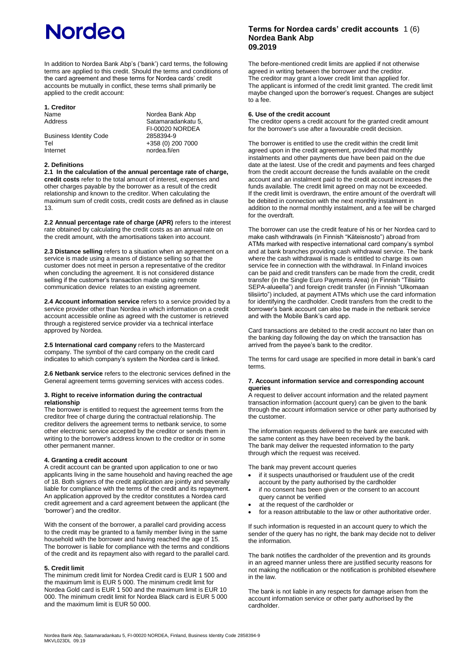# **Nordea**

In addition to Nordea Bank Abp's ('bank') card terms, the following terms are applied to this credit. Should the terms and conditions of the card agreement and these terms for Nordea cards' credit accounts be mutually in conflict, these terms shall primarily be applied to the credit account:

### **1. Creditor** Name Nordea Bank Abp<br>Address Satamaradankatu

Business Identity Code<br>Tel Tel +358 (0) 200 7000<br>
Internet nordea.fi/en

Satamaradankatu 5, FI-00020 NORDEA nordea.fi/en

#### **2. Definitions**

**2.1 In the calculation of the annual percentage rate of charge, credit costs** refer to the total amount of interest, expenses and other charges payable by the borrower as a result of the credit relationship and known to the creditor. When calculating the maximum sum of credit costs, credit costs are defined as in clause 13.

**2.2 Annual percentage rate of charge (APR)** refers to the interest rate obtained by calculating the credit costs as an annual rate on the credit amount, with the amortisations taken into account.

**2.3 Distance selling** refers to a situation when an agreement on a service is made using a means of distance selling so that the customer does not meet in person a representative of the creditor when concluding the agreement. It is not considered distance selling if the customer's transaction made using remote communication device relates to an existing agreement.

**2.4 Account information service** refers to a service provided by a service provider other than Nordea in which information on a credit account accessible online as agreed with the customer is retrieved through a registered service provider via a technical interface approved by Nordea.

**2.5 International card company** refers to the Mastercard company. The symbol of the card company on the credit card indicates to which company's system the Nordea card is linked.

**2.6 Netbank service** refers to the electronic services defined in the General agreement terms governing services with access codes.

#### **3. Right to receive information during the contractual relationship**

The borrower is entitled to request the agreement terms from the creditor free of charge during the contractual relationship. The creditor delivers the agreement terms to netbank service, to some other electronic service accepted by the creditor or sends them in writing to the borrower's address known to the creditor or in some other permanent manner.

### **4. Granting a credit account**

A credit account can be granted upon application to one or two applicants living in the same household and having reached the age of 18. Both signers of the credit application are jointly and severally liable for compliance with the terms of the credit and its repayment. An application approved by the creditor constitutes a Nordea card credit agreement and a card agreement between the applicant (the 'borrower') and the creditor.

With the consent of the borrower, a parallel card providing access to the credit may be granted to a family member living in the same household with the borrower and having reached the age of 15. The borrower is liable for compliance with the terms and conditions of the credit and its repayment also with regard to the parallel card.

### **5. Credit limit**

The minimum credit limit for Nordea Credit card is EUR 1 500 and the maximum limit is EUR 5 000. The minimum credit limit for Nordea Gold card is EUR 1 500 and the maximum limit is EUR 10 000. The minimum credit limit for Nordea Black card is EUR 5 000 and the maximum limit is EUR 50 000.

### **Terms for Nordea cards' credit accounts** 1 (6) **Nordea Bank Abp 09.2019**

The before-mentioned credit limits are applied if not otherwise agreed in writing between the borrower and the creditor. The creditor may grant a lower credit limit than applied for. The applicant is informed of the credit limit granted. The credit limit maybe changed upon the borrower's request. Changes are subject to a fee.

### **6. Use of the credit account**

The creditor opens a credit account for the granted credit amount for the borrower's use after a favourable credit decision.

The borrower is entitled to use the credit within the credit limit agreed upon in the credit agreement, provided that monthly instalments and other payments due have been paid on the due date at the latest. Use of the credit and payments and fees charged from the credit account decrease the funds available on the credit account and an instalment paid to the credit account increases the funds available. The credit limit agreed on may not be exceeded. If the credit limit is overdrawn, the entire amount of the overdraft will be debited in connection with the next monthly instalment in addition to the normal monthly instalment, and a fee will be charged for the overdraft.

The borrower can use the credit feature of his or her Nordea card to make cash withdrawals (in Finnish "Käteisnosto") abroad from ATMs marked with respective international card company's symbol and at bank branches providing cash withdrawal service. The bank where the cash withdrawal is made is entitled to charge its own service fee in connection with the withdrawal. In Finland invoices can be paid and credit transfers can be made from the credit, credit transfer (in the Single Euro Payments Area) (in Finnish "Tilisiirto SEPA-alueella") and foreign credit transfer (in Finnish "Ulkomaan tilisiirto") included, at payment ATMs which use the card information for identifying the cardholder. Credit transfers from the credit to the borrower's bank account can also be made in the netbank service and with the Mobile Bank's card app.

Card transactions are debited to the credit account no later than on the banking day following the day on which the transaction has arrived from the payee's bank to the creditor.

The terms for card usage are specified in more detail in bank's card terms.

### **7. Account information service and corresponding account queries**

A request to deliver account information and the related payment transaction information (account query) can be given to the bank through the account information service or other party authorised by the customer.

The information requests delivered to the bank are executed with the same content as they have been received by the bank. The bank may deliver the requested information to the party through which the request was received.

The bank may prevent account queries

- if it suspects unauthorised or fraudulent use of the credit account by the party authorised by the cardholder
- if no consent has been given or the consent to an account query cannot be verified
- at the request of the cardholder or
- for a reason attributable to the law or other authoritative order.

If such information is requested in an account query to which the sender of the query has no right, the bank may decide not to deliver the information.

The bank notifies the cardholder of the prevention and its grounds in an agreed manner unless there are justified security reasons for not making the notification or the notification is prohibited elsewhere in the law.

The bank is not liable in any respects for damage arisen from the account information service or other party authorised by the cardholder.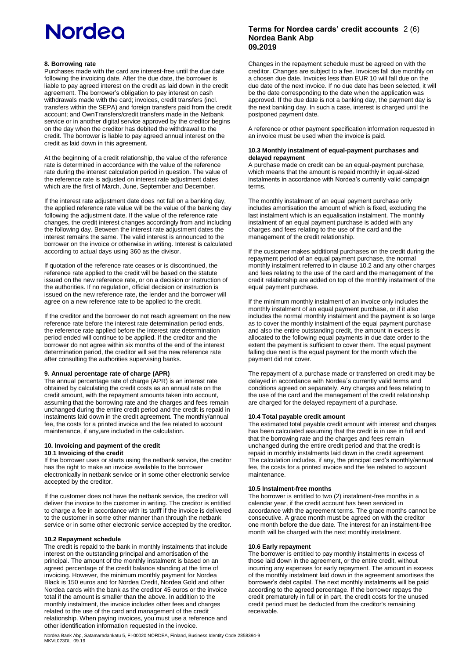## **Nordea**

### **8. Borrowing rate**

Purchases made with the card are interest-free until the due date following the invoicing date. After the due date, the borrower is liable to pay agreed interest on the credit as laid down in the credit agreement. The borrower's obligation to pay interest on cash withdrawals made with the card; invoices, credit transfers (incl. transfers within the SEPA) and foreign transfers paid from the credit account; and OwnTransfers/credit transfers made in the Netbank service or in another digital service approved by the creditor begins on the day when the creditor has debited the withdrawal to the credit. The borrower is liable to pay agreed annual interest on the credit as laid down in this agreement.

At the beginning of a credit relationship, the value of the reference rate is determined in accordance with the value of the reference rate during the interest calculation period in question. The value of the reference rate is adjusted on interest rate adjustment dates which are the first of March, June, September and December.

If the interest rate adjustment date does not fall on a banking day, the applied reference rate value will be the value of the banking day following the adjustment date. If the value of the reference rate changes, the credit interest changes accordingly from and including the following day. Between the interest rate adjustment dates the interest remains the same. The valid interest is announced to the borrower on the invoice or otherwise in writing. Interest is calculated according to actual days using 360 as the divisor.

If quotation of the reference rate ceases or is discontinued, the reference rate applied to the credit will be based on the statute issued on the new reference rate, or on a decision or instruction of the authorities. If no regulation, official decision or instruction is issued on the new reference rate, the lender and the borrower will agree on a new reference rate to be applied to the credit.

If the creditor and the borrower do not reach agreement on the new reference rate before the interest rate determination period ends, the reference rate applied before the interest rate determination period ended will continue to be applied. If the creditor and the borrower do not agree within six months of the end of the interest determination period, the creditor will set the new reference rate after consulting the authorities supervising banks.

### **9. Annual percentage rate of charge (APR)**

The annual percentage rate of charge (APR) is an interest rate obtained by calculating the credit costs as an annual rate on the credit amount, with the repayment amounts taken into account, assuming that the borrowing rate and the charges and fees remain unchanged during the entire credit period and the credit is repaid in instalments laid down in the credit agreement. The monthly/annual fee, the costs for a printed invoice and the fee related to account maintenance, if any,are included in the calculation.

#### **10. Invoicing and payment of the credit 10**.**1 Invoicing of the credit**

If the borrower uses or starts using the netbank service, the creditor has the right to make an invoice available to the borrower electronically in netbank service or in some other electronic service accepted by the creditor.

If the customer does not have the netbank service, the creditor will deliver the invoice to the customer in writing. The creditor is entitled to charge a fee in accordance with its tariff if the invoice is delivered to the customer in some other manner than through the netbank service or in some other electronic service accepted by the creditor.

### **10.2 Repayment schedule**

The credit is repaid to the bank in monthly instalments that include interest on the outstanding principal and amortisation of the principal. The amount of the monthly instalment is based on an agreed percentage of the credit balance standing at the time of invoicing. However, the minimum monthly payment for Nordea Black is 150 euros and for Nordea Credit, Nordea Gold and other Nordea cards with the bank as the creditor 45 euros or the invoice total if the amount is smaller than the above. In addition to the monthly instalment, the invoice includes other fees and charges related to the use of the card and management of the credit relationship. When paying invoices, you must use a reference and other identification information requested in the invoice.

### **Terms for Nordea cards' credit accounts** 2 (6) **ordea Bank Abp N 09.2019**

Changes in the repayment schedule must be agreed on with the creditor. Changes are subject to a fee. Invoices fall due monthly on a chosen due date. Invoices less than EUR 10 will fall due on the due date of the next invoice. If no due date has been selected, it will be the date corresponding to the date when the application was approved. If the due date is not a banking day, the payment day is the next banking day. In such a case, interest is charged until the postponed payment date.

A reference or other payment specification information requested in an invoice must be used when the invoice is paid.

### **10.3 Monthly instalment of equal-payment purchases and delayed repayment**

A purchase made on credit can be an equal-payment purchase, which means that the amount is repaid monthly in equal-sized instalments in accordance with Nordea's currently valid campaign terms.

The monthly instalment of an equal payment purchase only includes amortisation the amount of which is fixed, excluding the last instalment which is an equalisation instalment. The monthly instalment of an equal payment purchase is added with any charges and fees relating to the use of the card and the management of the credit relationship.

If the customer makes additional purchases on the credit during the repayment period of an equal payment purchase, the normal monthly instalment referred to in clause 10.2 and any other charges and fees relating to the use of the card and the management of the credit relationship are added on top of the monthly instalment of the equal payment purchase.

If the minimum monthly instalment of an invoice only includes the monthly instalment of an equal payment purchase, or if it also includes the normal monthly instalment and the payment is so large as to cover the monthly instalment of the equal payment purchase and also the entire outstanding credit, the amount in excess is allocated to the following equal payments in due date order to the extent the payment is sufficient to cover them. The equal payment falling due next is the equal payment for the month which the payment did not cover.

The repayment of a purchase made or transferred on credit may be delayed in accordance with Nordea´s currently valid terms and conditions agreed on separately. Any charges and fees relating to the use of the card and the management of the credit relationship are charged for the delayed repayment of a purchase.

### **10.4 Total payable credit amount**

The estimated total payable credit amount with interest and charges has been calculated assuming that the credit is in use in full and that the borrowing rate and the charges and fees remain unchanged during the entire credit period and that the credit is repaid in monthly instalments laid down in the credit agreement. The calculation includes, if any, the principal card's monthly/annual fee, the costs for a printed invoice and the fee related to account maintenance.

### **10.5 Instalment-free months**

The borrower is entitled to two (2) instalment-free months in a calendar year, if the credit account has been serviced in accordance with the agreement terms. The grace months cannot be consecutive. A grace month must be agreed on with the creditor one month before the due date. The interest for an instalment-free month will be charged with the next monthly instalment.

### **10.6 Early repayment**

The borrower is entitled to pay monthly instalments in excess of those laid down in the agreement, or the entire credit, without incurring any expenses for early repayment. The amount in excess of the monthly instalment laid down in the agreement amortises the borrower's debt capital. The next monthly instalments will be paid according to the agreed percentage. If the borrower repays the credit prematurely in full or in part, the credit costs for the unused credit period must be deducted from the creditor's remaining receivable.

Nordea Bank Abp, Satamaradankatu 5, FI-00020 NORDEA, Finland, Business Identity Code 2858394-9 MKVL023DL 09.19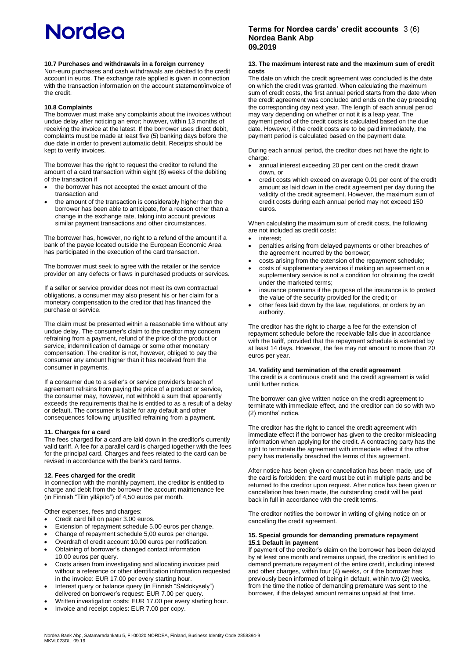### **10.7 Purchases and withdrawals in a foreign currency**

Non-euro purchases and cash withdrawals are debited to the credit account in euros. The exchange rate applied is given in connection with the transaction information on the account statement/invoice of the credit.

### **10.8 Complaints**

The borrower must make any complaints about the invoices without undue delay after noticing an error; however, within 13 months of receiving the invoice at the latest. If the borrower uses direct debit, complaints must be made at least five (5) banking days before the due date in order to prevent automatic debit. Receipts should be kept to verify invoices.

The borrower has the right to request the creditor to refund the amount of a card transaction within eight (8) weeks of the debiting of the transaction if

- the borrower has not accepted the exact amount of the transaction and
- the amount of the transaction is considerably higher than the borrower has been able to anticipate, for a reason other than a change in the exchange rate, taking into account previous similar payment transactions and other circumstances.

The borrower has, however, no right to a refund of the amount if a bank of the payee located outside the European Economic Area has participated in the execution of the card transaction.

The borrower must seek to agree with the retailer or the service provider on any defects or flaws in purchased products or services.

If a seller or service provider does not meet its own contractual obligations, a consumer may also present his or her claim for a monetary compensation to the creditor that has financed the purchase or service.

The claim must be presented within a reasonable time without any undue delay. The consumer's claim to the creditor may concern refraining from a payment, refund of the price of the product or service, indemnification of damage or some other monetary compensation. The creditor is not, however, obliged to pay the consumer any amount higher than it has received from the consumer in payments.

If a consumer due to a seller's or service provider's breach of agreement refrains from paying the price of a product or service, the consumer may, however, not withhold a sum that apparently exceeds the requirements that he is entitled to as a result of a delay or default. The consumer is liable for any default and other consequences following unjustified refraining from a payment.

### **11. Charges for a card**

The fees charged for a card are laid down in the creditor's currently valid tariff. A fee for a parallel card is charged together with the fees for the principal card. Charges and fees related to the card can be revised in accordance with the bank's card terms.

### **12. Fees charged for the credit**

In connection with the monthly payment, the creditor is entitled to charge and debit from the borrower the account maintenance fee (in Finnish "Tilin ylläpito") of 4,50 euros per month.

Other expenses, fees and charges:

- Credit card bill on paper 3.00 euros.
- Extension of repayment schedule 5.00 euros per change.
- Change of repayment schedule 5,00 euros per change.
- Overdraft of credit account 10.00 euros per notification.
- Obtaining of borrower's changed contact information 10.00 euros per query.
- Costs arisen from investigating and allocating invoices paid without a reference or other identification information requested in the invoice: EUR 17.00 per every starting hour.
- Interest query or balance query (in Finnish "Saldokysely") delivered on borrower's request: EUR 7.00 per query.
- Written investigation costs: EUR 17.00 per every starting hour.
- Invoice and receipt copies: EUR 7.00 per copy.

### **Terms for Nordea cards' credit accounts** 3 (6) **Nordea Bank Abp 09.2019**

### **13. The maximum interest rate and the maximum sum of credit costs**

The date on which the credit agreement was concluded is the date on which the credit was granted. When calculating the maximum sum of credit costs, the first annual period starts from the date when the credit agreement was concluded and ends on the day preceding the corresponding day next year. The length of each annual period may vary depending on whether or not it is a leap year. The payment period of the credit costs is calculated based on the due date. However, if the credit costs are to be paid immediately, the payment period is calculated based on the payment date.

During each annual period, the creditor does not have the right to charge:

- annual interest exceeding 20 per cent on the credit drawn down, or
- credit costs which exceed on average 0.01 per cent of the credit amount as laid down in the credit agreement per day during the validity of the credit agreement. However, the maximum sum of credit costs during each annual period may not exceed 150 euros.

When calculating the maximum sum of credit costs, the following are not included as credit costs:

- interest;
- penalties arising from delayed payments or other breaches of the agreement incurred by the borrower;
- costs arising from the extension of the repayment schedule;
- costs of supplementary services if making an agreement on a supplementary service is not a condition for obtaining the credit under the marketed terms;
- insurance premiums if the purpose of the insurance is to protect the value of the security provided for the credit; or
- other fees laid down by the law, regulations, or orders by an authority.

The creditor has the right to charge a fee for the extension of repayment schedule before the receivable falls due in accordance with the tariff, provided that the repayment schedule is extended by at least 14 days. However, the fee may not amount to more than 20 euros per year.

### **14. Validity and termination of the credit agreement**

The credit is a continuous credit and the credit agreement is valid until further notice.

The borrower can give written notice on the credit agreement to terminate with immediate effect, and the creditor can do so with two (2) months' notice.

The creditor has the right to cancel the credit agreement with immediate effect if the borrower has given to the creditor misleading information when applying for the credit. A contracting party has the right to terminate the agreement with immediate effect if the other party has materially breached the terms of this agreement.

After notice has been given or cancellation has been made, use of the card is forbidden; the card must be cut in multiple parts and be returned to the creditor upon request. After notice has been given or cancellation has been made, the outstanding credit will be paid back in full in accordance with the credit terms.

The creditor notifies the borrower in writing of giving notice on or cancelling the credit agreement.

#### **15. Special grounds for demanding premature repayment 15.1 Default in payment**

If payment of the creditor's claim on the borrower has been delayed by at least one month and remains unpaid, the creditor is entitled to demand premature repayment of the entire credit, including interest and other charges, within four (4) weeks, or if the borrower has previously been informed of being in default, within two (2) weeks, from the time the notice of demanding premature was sent to the borrower, if the delayed amount remains unpaid at that time.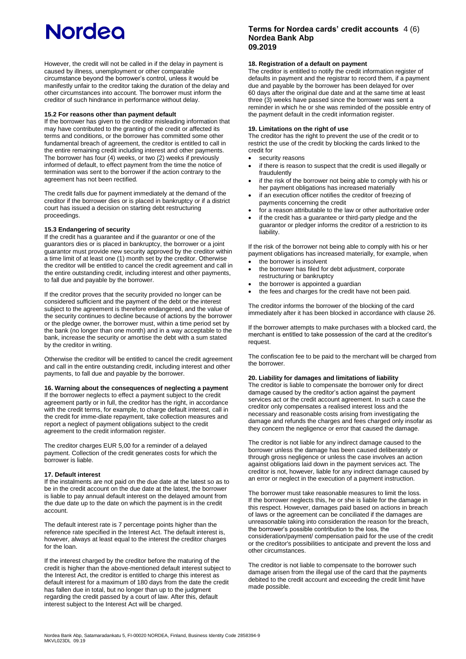However, the credit will not be called in if the delay in payment is caused by illness, unemployment or other comparable circumstance beyond the borrower's control, unless it would be manifestly unfair to the creditor taking the duration of the delay and other circumstances into account. The borrower must inform the creditor of such hindrance in performance without delay.

### **15.2 For reasons other than payment default**

If the borrower has given to the creditor misleading information that may have contributed to the granting of the credit or affected its terms and conditions, or the borrower has committed some other fundamental breach of agreement, the creditor is entitled to call in the entire remaining credit including interest and other payments. The borrower has four (4) weeks, or two (2) weeks if previously informed of default, to effect payment from the time the notice of termination was sent to the borrower if the action contrary to the agreement has not been rectified.

The credit falls due for payment immediately at the demand of the creditor if the borrower dies or is placed in bankruptcy or if a district court has issued a decision on starting debt restructuring proceedings.

### **15.3 Endangering of security**

If the credit has a guarantee and if the guarantor or one of the guarantors dies or is placed in bankruptcy, the borrower or a joint guarantor must provide new security approved by the creditor within a time limit of at least one (1) month set by the creditor. Otherwise the creditor will be entitled to cancel the credit agreement and call in the entire outstanding credit, including interest and other payments, to fall due and payable by the borrower.

If the creditor proves that the security provided no longer can be considered sufficient and the payment of the debt or the interest subject to the agreement is therefore endangered, and the value of the security continues to decline because of actions by the borrower or the pledge owner, the borrower must, within a time period set by the bank (no longer than one month) and in a way acceptable to the bank, increase the security or amortise the debt with a sum stated by the creditor in writing.

Otherwise the creditor will be entitled to cancel the credit agreement and call in the entire outstanding credit, including interest and other payments, to fall due and payable by the borrower.

### **16. Warning about the consequences of neglecting a payment**

If the borrower neglects to effect a payment subject to the credit agreement partly or in full, the creditor has the right, in accordance with the credit terms, for example, to charge default interest, call in the credit for imme-diate repayment, take collection measures and report a neglect of payment obligations subject to the credit agreement to the credit information register.

The creditor charges EUR 5,00 for a reminder of a delayed payment. Collection of the credit generates costs for which the borrower is liable.

### **17. Default interest**

If the instalments are not paid on the due date at the latest so as to be in the credit account on the due date at the latest, the borrower is liable to pay annual default interest on the delayed amount from the due date up to the date on which the payment is in the credit account.

The default interest rate is 7 percentage points higher than the reference rate specified in the Interest Act. The default interest is, however, always at least equal to the interest the creditor charges for the loan.

If the interest charged by the creditor before the maturing of the credit is higher than the above-mentioned default interest subject to the Interest Act, the creditor is entitled to charge this interest as default interest for a maximum of 180 days from the date the credit has fallen due in total, but no longer than up to the judgment regarding the credit passed by a court of law. After this, default interest subject to the Interest Act will be charged.

### **Terms for Nordea cards' credit account s** 4 (6) **ordea Bank Abp N 9.2019 0**

### **18. Registration of a default on payment**

The creditor is entitled to notify the credit information register of defaults in payment and the registrar to record them, if a payment due and payable by the borrower has been delayed for over 60 days after the original due date and at the same time at least three (3) weeks have passed since the borrower was sent a reminder in which he or she was reminded of the possible entry of the payment default in the credit information register.

### **19. Limitations on the right of use**

The creditor has the right to prevent the use of the credit or to restrict the use of the credit by blocking the cards linked to the credit for

- security reasons
- if there is reason to suspect that the credit is used illegally or fraudulently
- if the risk of the borrower not being able to comply with his or her payment obligations has increased materially
- if an execution officer notifies the creditor of freezing of payments concerning the credit
- for a reason attributable to the law or other authoritative order
- if the credit has a guarantee or third-party pledge and the guarantor or pledger informs the creditor of a restriction to its liability.

If the risk of the borrower not being able to comply with his or her payment obligations has increased materially, for example, when the borrower is insolvent

- the borrower has filed for debt adjustment, corporate restructuring or bankruptcy
- the borrower is appointed a guardian
- the fees and charges for the credit have not been paid.

The creditor informs the borrower of the blocking of the card immediately after it has been blocked in accordance with clause 26.

If the borrower attempts to make purchases with a blocked card, the merchant is entitled to take possession of the card at the creditor's request.

The confiscation fee to be paid to the merchant will be charged from the borrower.

### **20. Liability for damages and limitations of liability**

The creditor is liable to compensate the borrower only for direct damage caused by the creditor's action against the payment services act or the credit account agreement. In such a case the creditor only compensates a realised interest loss and the necessary and reasonable costs arising from investigating the damage and refunds the charges and fees charged only insofar as they concern the negligence or error that caused the damage.

The creditor is not liable for any indirect damage caused to the borrower unless the damage has been caused deliberately or through gross negligence or unless the case involves an action against obligations laid down in the payment services act. The creditor is not, however, liable for any indirect damage caused by an error or neglect in the execution of a payment instruction.

The borrower must take reasonable measures to limit the loss. If the borrower neglects this, he or she is liable for the damage in this respect. However, damages paid based on actions in breach of laws or the agreement can be conciliated if the damages are unreasonable taking into consideration the reason for the breach, the borrower's possible contribution to the loss, the consideration/payment/ compensation paid for the use of the credit or the creditor's possibilities to anticipate and prevent the loss and other circumstances.

The creditor is not liable to compensate to the borrower such damage arisen from the illegal use of the card that the payments debited to the credit account and exceeding the credit limit have made possible.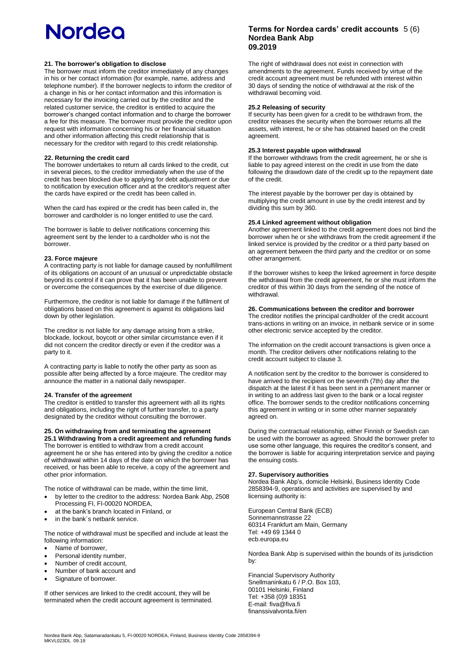### **21. The borrower's obligation to disclose**

The borrower must inform the creditor immediately of any changes in his or her contact information (for example, name, address and telephone number). If the borrower neglects to inform the creditor of a change in his or her contact information and this information is necessary for the invoicing carried out by the creditor and the related customer service, the creditor is entitled to acquire the borrower's changed contact information and to charge the borrower a fee for this measure. The borrower must provide the creditor upon request with information concerning his or her financial situation and other information affecting this credit relationship that is necessary for the creditor with regard to this credit relationship.

### **22. Returning the credit card**

The borrower undertakes to return all cards linked to the credit, cut in several pieces, to the creditor immediately when the use of the credit has been blocked due to applying for debt adjustment or due to notification by execution officer and at the creditor's request after the cards have expired or the credit has been called in.

When the card has expired or the credit has been called in, the borrower and cardholder is no longer entitled to use the card.

The borrower is liable to deliver notifications concerning this agreement sent by the lender to a cardholder who is not the borrower.

### **23. Force majeure**

A contracting party is not liable for damage caused by nonfulfillment of its obligations on account of an unusual or unpredictable obstacle beyond its control if it can prove that it has been unable to prevent or overcome the consequences by the exercise of due diligence.

Furthermore, the creditor is not liable for damage if the fulfilment of obligations based on this agreement is against its obligations laid down by other legislation.

The creditor is not liable for any damage arising from a strike, blockade, lockout, boycott or other similar circumstance even if it did not concern the creditor directly or even if the creditor was a party to it.

A contracting party is liable to notify the other party as soon as possible after being affected by a force majeure. The creditor may announce the matter in a national daily newspaper.

### **24. Transfer of the agreement**

The creditor is entitled to transfer this agreement with all its rights and obligations, including the right of further transfer, to a party designated by the creditor without consulting the borrower.

#### **25. On withdrawing from and terminating the agreement 25.1 Withdrawing from a credit agreement and refunding funds** The borrower is entitled to withdraw from a credit account

agreement he or she has entered into by giving the creditor a notice of withdrawal within 14 days of the date on which the borrower has received, or has been able to receive, a copy of the agreement and other prior information.

The notice of withdrawal can be made, within the time limit,

- by letter to the creditor to the address: Nordea Bank Abp, 2508 Processing FI, FI-00020 NORDEA,
- at the bank's branch located in Finland, or
- in the bank's netbank service.

The notice of withdrawal must be specified and include at least the following information:

- Name of borrower,
- Personal identity number,
- Number of credit account,
- Number of bank account and
- Signature of borrower.

If other services are linked to the credit account, they will be terminated when the credit account agreement is terminated.

### **Terms for Nordea cards' credit account s** 5 (6) **Nordea Bank Abp 09.2019**

The right of withdrawal does not exist in connection with amendments to the agreement. Funds received by virtue of the credit account agreement must be refunded with interest within 30 days of sending the notice of withdrawal at the risk of the withdrawal becoming void.

### **25.2 Releasing of security**

If security has been given for a credit to be withdrawn from, the creditor releases the security when the borrower returns all the assets, with interest, he or she has obtained based on the credit agreement.

### **25.3 Interest payable upon withdrawal**

If the borrower withdraws from the credit agreement, he or she is liable to pay agreed interest on the credit in use from the date following the drawdown date of the credit up to the repayment date of the credit.

The interest payable by the borrower per day is obtained by multiplying the credit amount in use by the credit interest and by dividing this sum by 360.

### **25.4 Linked agreement without obligation**

Another agreement linked to the credit agreement does not bind the borrower when he or she withdraws from the credit agreement if the linked service is provided by the creditor or a third party based on an agreement between the third party and the creditor or on some other arrangement.

 If the borrower wishes to keep the linked agreement in force despite the withdrawal from the credit agreement, he or she must inform the creditor of this within 30 days from the sending of the notice of withdrawal.

### **26. Communications between the creditor and borrower**

The creditor notifies the principal cardholder of the credit account trans-actions in writing on an invoice, in netbank service or in some other electronic service accepted by the creditor.

The information on the credit account transactions is given once a month. The creditor delivers other notifications relating to the credit account subject to clause 3.

A notification sent by the creditor to the borrower is considered to have arrived to the recipient on the seventh (7th) day after the dispatch at the latest if it has been sent in a permanent manner or in writing to an address last given to the bank or a local register office. The borrower sends to the creditor notifications concerning this agreement in writing or in some other manner separately agreed on.

During the contractual relationship, either Finnish or Swedish can be used with the borrower as agreed. Should the borrower prefer to use some other language, this requires the creditor's consent, and the borrower is liable for acquiring interpretation service and paying the ensuing costs.

### **27. Supervisory authorities**

Nordea Bank Abp's, domicile Helsinki, Business Identity Code 2858394-9, operations and activities are supervised by and licensing authority is:

European Central Bank (ECB) Sonnemannstrasse 22 60314 Frankfurt am Main, Germany Tel: +49 69 1344 0 ecb.europa.eu

Nordea Bank Abp is supervised within the bounds of its jurisdiction by:

Financial Supervisory Authority Snellmaninkatu 6 / P.O. Box 103, 00101 Helsinki, Finland Tel: +358 (0)9 18351 E-mail: fiva@fiva.fi finanssivalvonta.fi/en